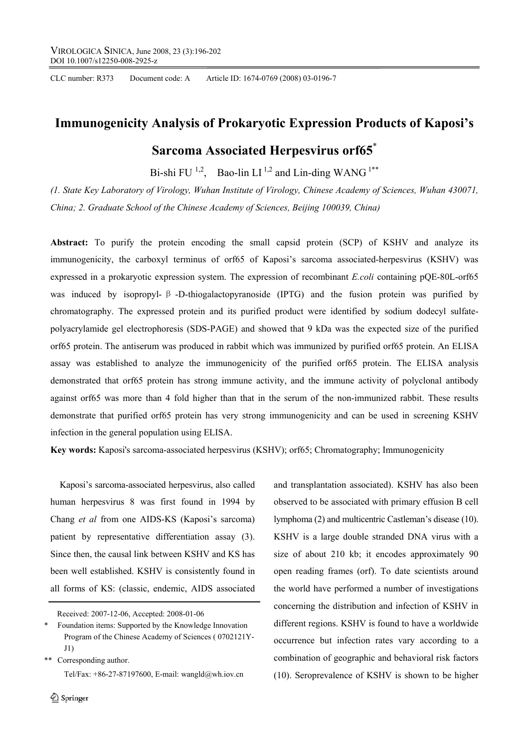CLC number: R373 Document code: A Article ID: 1674-0769 (2008) 03-0196-7

# **Immunogenicity Analysis of Prokaryotic Expression Products of Kaposi's**

# **Sarcoma Associated Herpesvirus orf65**\*

Bi-shi FU  $^{1,2}$ , Bao-lin LI  $^{1,2}$  and Lin-ding WANG  $^{1**}$ 

*(1. State Key Laboratory of Virology, Wuhan Institute of Virology, Chinese Academy of Sciences, Wuhan 430071, China; 2. Graduate School of the Chinese Academy of Sciences, Beijing 100039, China)* 

**Abstract:** To purify the protein encoding the small capsid protein (SCP) of KSHV and analyze its immunogenicity, the carboxyl terminus of orf65 of Kaposi's sarcoma associated-herpesvirus (KSHV) was expressed in a prokaryotic expression system. The expression of recombinant *E.coli* containing pQE-80L-orf65 was induced by isopropyl-  $\beta$ -D-thiogalactopyranoside (IPTG) and the fusion protein was purified by chromatography. The expressed protein and its purified product were identified by sodium dodecyl sulfatepolyacrylamide gel electrophoresis (SDS-PAGE) and showed that 9 kDa was the expected size of the purified orf65 protein. The antiserum was produced in rabbit which was immunized by purified orf65 protein. An ELISA assay was established to analyze the immunogenicity of the purified orf65 protein. The ELISA analysis demonstrated that orf65 protein has strong immune activity, and the immune activity of polyclonal antibody against orf65 was more than 4 fold higher than that in the serum of the non-immunized rabbit. These results demonstrate that purified orf65 protein has very strong immunogenicity and can be used in screening KSHV infection in the general population using ELISA.

**Key words:** Kaposi's sarcoma-associated herpesvirus (KSHV); orf65; Chromatography; Immunogenicity

Kaposi's sarcoma-associated herpesvirus, also called human herpesvirus 8 was first found in 1994 by Chang *et al* from one AIDS-KS (Kaposi's sarcoma) patient by representative differentiation assay (3). Since then, the causal link between KSHV and KS has been well established. KSHV is consistently found in all forms of KS: (classic, endemic, AIDS associated

Received: 2007-12-06, Accepted: 2008-01-06

\*\* Corresponding author. Tel/Fax:  $+86-27-87197600$ , E-mail: wangld@wh.iov.cn

 $\textcircled{2}$  Springer

and transplantation associated). KSHV has also been observed to be associated with primary effusion B cell lymphoma (2) and multicentric Castleman's disease (10). KSHV is a large double stranded DNA virus with a size of about 210 kb; it encodes approximately 90 open reading frames (orf). To date scientists around the world have performed a number of investigations concerning the distribution and infection of KSHV in different regions. KSHV is found to have a worldwide occurrence but infection rates vary according to a combination of geographic and behavioral risk factors (10). Seroprevalence of KSHV is shown to be higher

Foundation items: Supported by the Knowledge Innovation Program of the Chinese Academy of Sciences ( 0702121Y- $J1)$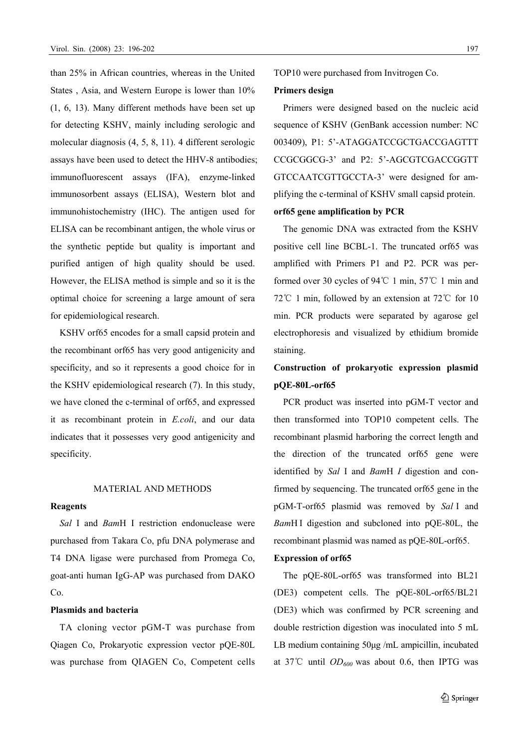than 25% in African countries, whereas in the United States , Asia, and Western Europe is lower than 10% (1, 6, 13). Many different methods have been set up for detecting KSHV, mainly including serologic and molecular diagnosis (4, 5, 8, 11). 4 different serologic assays have been used to detect the HHV-8 antibodies; immunofluorescent assays (IFA), enzyme-linked immunosorbent assays (ELISA), Western blot and immunohistochemistry (IHC). The antigen used for ELISA can be recombinant antigen, the whole virus or the synthetic peptide but quality is important and purified antigen of high quality should be used. However, the ELISA method is simple and so it is the optimal choice for screening a large amount of sera for epidemiological research.

KSHV orf65 encodes for a small capsid protein and the recombinant orf65 has very good antigenicity and specificity, and so it represents a good choice for in the KSHV epidemiological research (7). In this study, we have cloned the c-terminal of orf65, and expressed it as recombinant protein in *E.coli*, and our data indicates that it possesses very good antigenicity and specificity.

### MATERIAL AND METHODS

#### **Reagents**

*Sal* I and *Bam*H I restriction endonuclease were purchased from Takara Co, pfu DNA polymerase and T4 DNA ligase were purchased from Promega Co, goat-anti human IgG-AP was purchased from DAKO Co.

# **Plasmids and bacteria**

TA cloning vector pGM-T was purchase from Qiagen Co, Prokaryotic expression vector pQE-80L was purchase from QIAGEN Co, Competent cells TOP10 were purchased from Invitrogen Co.

# **Primers design**

Primers were designed based on the nucleic acid sequence of KSHV (GenBank accession number: NC 003409), P1: 5'-ATAGGATCCGCTGACCGAGTTT CCGCGGCG-3' and P2: 5'-AGCGTCGACCGGTT GTCCAATCGTTGCCTA-3' were designed for amplifying the c-terminal of KSHV small capsid protein.

# **orf65 gene amplification by PCR**

The genomic DNA was extracted from the KSHV positive cell line BCBL-1. The truncated orf65 was amplified with Primers P1 and P2. PCR was performed over 30 cycles of 94°C 1 min, 57°C 1 min and  $72^{\circ}$ C 1 min, followed by an extension at  $72^{\circ}$ C for 10 min. PCR products were separated by agarose gel electrophoresis and visualized by ethidium bromide staining.

# **Construction of prokaryotic expression plasmid pQE-80L-orf65**

PCR product was inserted into pGM-T vector and then transformed into TOP10 competent cells. The recombinant plasmid harboring the correct length and the direction of the truncated orf65 gene were identified by *Sal* I and *Bam*H *I* digestion and confirmed by sequencing. The truncated orf65 gene in the pGM-T-orf65 plasmid was removed by *Sal* I and *Bam*H I digestion and subcloned into pQE-80L, the recombinant plasmid was named as pQE-80L-orf65.

## **Expression of orf65**

The pQE-80L-orf65 was transformed into BL21 (DE3) competent cells. The pQE-80L-orf65/BL21 (DE3) which was confirmed by PCR screening and double restriction digestion was inoculated into 5 mL LB medium containing 50μg /mL ampicillin, incubated at 37°C until  $OD_{600}$  was about 0.6, then IPTG was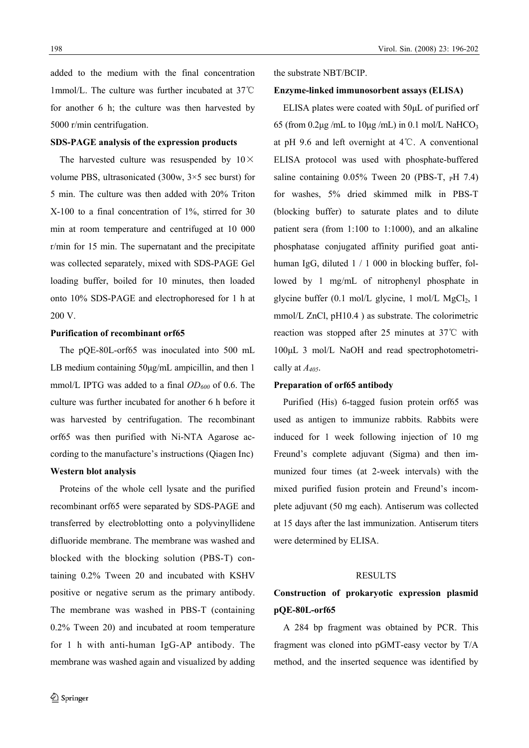added to the medium with the final concentration 1mmol/L. The culture was further incubated at 37 ℃ for another 6 h; the culture was then harvested by 5000 r/min centrifugation.

### **SDS-PAGE analysis of the expression products**

The harvested culture was resuspended by  $10 \times$ volume PBS, ultrasonicated (300w, 3×5 sec burst) for 5 min. The culture was then added with 20% Triton X-100 to a final concentration of 1%, stirred for 30 min at room temperature and centrifuged at 10 000 r/min for 15 min. The supernatant and the precipitate was collected separately, mixed with SDS-PAGE Gel loading buffer, boiled for 10 minutes, then loaded onto 10% SDS-PAGE and electrophoresed for 1 h at 200 V.

#### **Purification of recombinant orf65**

The pQE-80L-orf65 was inoculated into 500 mL LB medium containing 50μg/mL ampicillin, and then 1 mmol/L IPTG was added to a final  $OD<sub>600</sub>$  of 0.6. The culture was further incubated for another 6 h before it was harvested by centrifugation. The recombinant orf65 was then purified with Ni-NTA Agarose according to the manufacture's instructions (Qiagen Inc)

## **Western blot analysis**

Proteins of the whole cell lysate and the purified recombinant orf65 were separated by SDS-PAGE and transferred by electroblotting onto a polyvinyllidene difluoride membrane. The membrane was washed and blocked with the blocking solution (PBS-T) containing 0.2% Tween 20 and incubated with KSHV positive or negative serum as the primary antibody. The membrane was washed in PBS-T (containing 0.2% Tween 20) and incubated at room temperature for 1 h with anti-human IgG-AP antibody. The membrane was washed again and visualized by adding

#### the substrate NBT/BCIP.

#### **Enzyme-linked immunosorbent assays (ELISA)**

ELISA plates were coated with 50μL of purified orf 65 (from  $0.2\mu$ g /mL to  $10\mu$ g /mL) in  $0.1$  mol/L NaHCO<sub>3</sub> at pH 9.6 and left overnight at  $4^{\circ}$ C. A conventional ELISA protocol was used with phosphate-buffered saline containing  $0.05\%$  Tween 20 (PBS-T,  $pH$  7.4) for washes, 5% dried skimmed milk in PBS-T (blocking buffer) to saturate plates and to dilute patient sera (from 1:100 to 1:1000), and an alkaline phosphatase conjugated affinity purified goat antihuman IgG, diluted 1 / 1 000 in blocking buffer, followed by 1 mg/mL of nitrophenyl phosphate in glycine buffer  $(0.1 \text{ mol/L})$  glycine, 1 mol/L MgCl<sub>2</sub>, 1 mmol/L ZnCl, pH10.4 ) as substrate. The colorimetric reaction was stopped after 25 minutes at 37℃ with 100μL 3 mol/L NaOH and read spectrophotometrically at *A405*.

# **Preparation of orf65 antibody**

Purified (His) 6-tagged fusion protein orf65 was used as antigen to immunize rabbits. Rabbits were induced for 1 week following injection of 10 mg Freund's complete adjuvant (Sigma) and then immunized four times (at 2-week intervals) with the mixed purified fusion protein and Freund's incomplete adjuvant (50 mg each). Antiserum was collected at 15 days after the last immunization. Antiserum titers were determined by ELISA.

#### RESULTS

# **Construction of prokaryotic expression plasmid pQE-80L-orf65**

 A 284 bp fragment was obtained by PCR. This fragment was cloned into pGMT-easy vector by T/A method, and the inserted sequence was identified by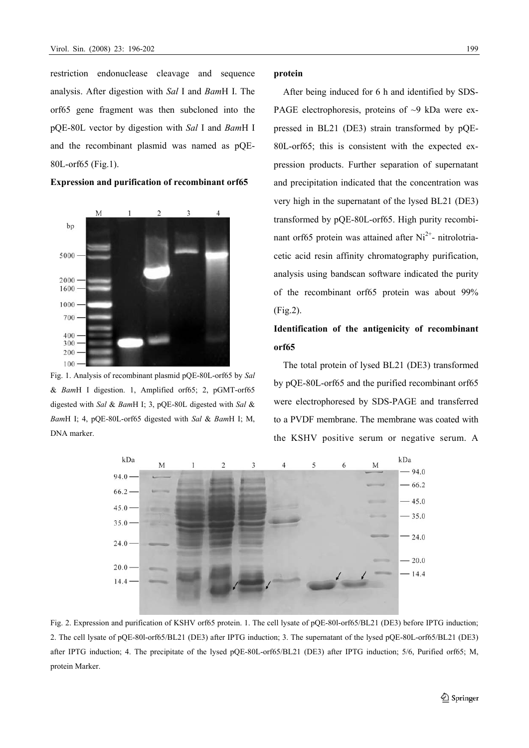restriction endonuclease cleavage and sequence analysis. After digestion with *Sal* I and *Bam*H I. The orf65 gene fragment was then subcloned into the pQE-80L vector by digestion with *Sal* I and *Bam*H I and the recombinant plasmid was named as pQE-80L-orf65 (Fig.1).



**Expression and purification of recombinant orf65** 

Fig. 1. Analysis of recombinant plasmid pQE-80L-orf65 by *Sal*  & *Bam*H I digestion. 1, Amplified orf65; 2, pGMT-orf65 digested with *Sal* & *Bam*H I; 3, pQE-80L digested with *Sal* & *Bam*H I; 4, pQE-80L-orf65 digested with *Sal* & *Bam*H I; M, DNA marker.

## **protein**

After being induced for 6 h and identified by SDS-PAGE electrophoresis, proteins of  $\sim$ 9 kDa were expressed in BL21 (DE3) strain transformed by pQE-80L-orf65; this is consistent with the expected expression products. Further separation of supernatant and precipitation indicated that the concentration was very high in the supernatant of the lysed BL21 (DE3) transformed by pQE-80L-orf65. High purity recombinant orf65 protein was attained after  $Ni<sup>2+</sup>$ - nitrolotriacetic acid resin affinity chromatography purification, analysis using bandscan software indicated the purity of the recombinant orf65 protein was about 99% (Fig.2).

# **Identification of the antigenicity of recombinant orf65**

The total protein of lysed BL21 (DE3) transformed by pQE-80L-orf65 and the purified recombinant orf65 were electrophoresed by SDS-PAGE and transferred to a PVDF membrane. The membrane was coated with the KSHV positive serum or negative serum. A



Fig. 2. Expression and purification of KSHV orf65 protein. 1. The cell lysate of pQE-80l-orf65/BL21 (DE3) before IPTG induction; 2. The cell lysate of pQE-80l-orf65/BL21 (DE3) after IPTG induction; 3. The supernatant of the lysed pQE-80L-orf65/BL21 (DE3) after IPTG induction; 4. The precipitate of the lysed pQE-80L-orf65/BL21 (DE3) after IPTG induction; 5/6, Purified orf65; M, protein Marker.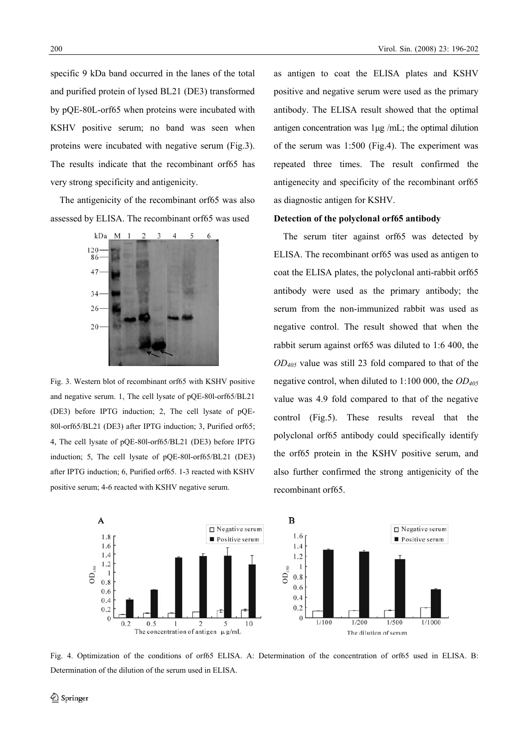specific 9 kDa band occurred in the lanes of the total and purified protein of lysed BL21 (DE3) transformed by pQE-80L-orf65 when proteins were incubated with KSHV positive serum; no band was seen when proteins were incubated with negative serum (Fig.3). The results indicate that the recombinant orf65 has very strong specificity and antigenicity.

The antigenicity of the recombinant orf65 was also assessed by ELISA. The recombinant orf65 was used



Fig. 3. Western blot of recombinant orf65 with KSHV positive and negative serum. 1, The cell lysate of pQE-80l-orf65/BL21 (DE3) before IPTG induction; 2, The cell lysate of pQE-80l-orf65/BL21 (DE3) after IPTG induction; 3, Purified orf65; 4, The cell lysate of pQE-80l-orf65/BL21 (DE3) before IPTG induction; 5, The cell lysate of pQE-80l-orf65/BL21 (DE3) after IPTG induction; 6, Purified orf65. 1-3 reacted with KSHV positive serum; 4-6 reacted with KSHV negative serum.

as antigen to coat the ELISA plates and KSHV positive and negative serum were used as the primary antibody. The ELISA result showed that the optimal antigen concentration was 1μg /mL; the optimal dilution of the serum was 1:500 (Fig.4). The experiment was repeated three times. The result confirmed the antigenecity and specificity of the recombinant orf65 as diagnostic antigen for KSHV.

### **Detection of the polyclonal orf65 antibody**

The serum titer against orf65 was detected by ELISA. The recombinant orf65 was used as antigen to coat the ELISA plates, the polyclonal anti-rabbit orf65 antibody were used as the primary antibody; the serum from the non-immunized rabbit was used as negative control. The result showed that when the rabbit serum against orf65 was diluted to 1:6 400, the *OD405* value was still 23 fold compared to that of the negative control, when diluted to 1:100 000, the *OD405* value was 4.9 fold compared to that of the negative control (Fig.5). These results reveal that the polyclonal orf65 antibody could specifically identify the orf65 protein in the KSHV positive serum, and also further confirmed the strong antigenicity of the recombinant orf65.



Fig. 4. Optimization of the conditions of orf65 ELISA. A: Determination of the concentration of orf65 used in ELISA. B: Determination of the dilution of the serum used in ELISA.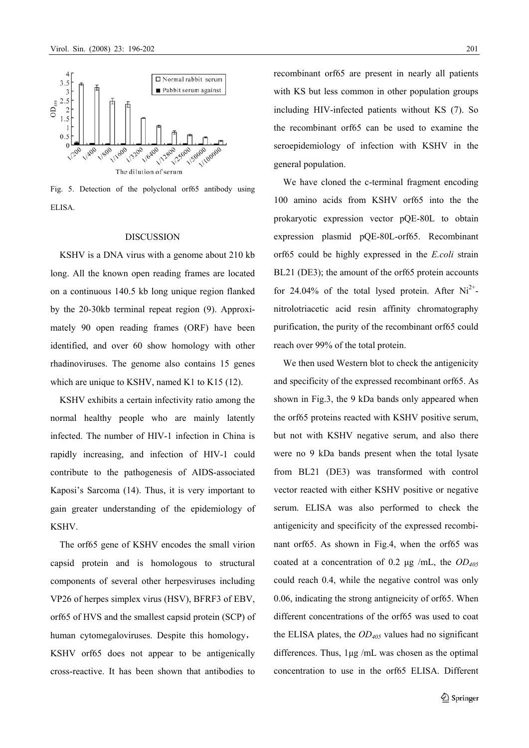

Fig. 5. Detection of the polyclonal orf65 antibody using ELISA.

## DISCUSSION

KSHV is a DNA virus with a genome about 210 kb long. All the known open reading frames are located on a continuous 140.5 kb long unique region flanked by the 20-30kb terminal repeat region (9). Approximately 90 open reading frames (ORF) have been identified, and over 60 show homology with other rhadinoviruses. The genome also contains 15 genes which are unique to KSHV, named K1 to K15 (12).

KSHV exhibits a certain infectivity ratio among the normal healthy people who are mainly latently infected. The number of HIV-1 infection in China is rapidly increasing, and infection of HIV-1 could contribute to the pathogenesis of AIDS-associated Kaposi's Sarcoma (14). Thus, it is very important to gain greater understanding of the epidemiology of **KSHV** 

The orf65 gene of KSHV encodes the small virion capsid protein and is homologous to structural components of several other herpesviruses including VP26 of herpes simplex virus (HSV), BFRF3 of EBV, orf65 of HVS and the smallest capsid protein (SCP) of human cytomegaloviruses. Despite this homology, KSHV orf65 does not appear to be antigenically cross-reactive. It has been shown that antibodies to

recombinant orf65 are present in nearly all patients with KS but less common in other population groups including HIV-infected patients without KS (7). So the recombinant orf65 can be used to examine the seroepidemiology of infection with KSHV in the general population.

We have cloned the c-terminal fragment encoding 100 amino acids from KSHV orf65 into the the prokaryotic expression vector pQE-80L to obtain expression plasmid pQE-80L-orf65. Recombinant orf65 could be highly expressed in the *E.coli* strain BL21 (DE3); the amount of the orf65 protein accounts for 24.04% of the total lysed protein. After  $Ni^{2+}$ nitrolotriacetic acid resin affinity chromatography purification, the purity of the recombinant orf65 could reach over 99% of the total protein.

We then used Western blot to check the antigenicity and specificity of the expressed recombinant orf65. As shown in Fig.3, the 9 kDa bands only appeared when the orf65 proteins reacted with KSHV positive serum, but not with KSHV negative serum, and also there were no 9 kDa bands present when the total lysate from BL21 (DE3) was transformed with control vector reacted with either KSHV positive or negative serum. ELISA was also performed to check the antigenicity and specificity of the expressed recombinant orf65. As shown in Fig.4, when the orf65 was coated at a concentration of 0.2 μg /mL, the *OD405* could reach 0.4, while the negative control was only 0.06, indicating the strong antigneicity of orf65. When different concentrations of the orf65 was used to coat the ELISA plates, the *OD405* values had no significant differences. Thus, 1μg /mL was chosen as the optimal concentration to use in the orf65 ELISA. Different